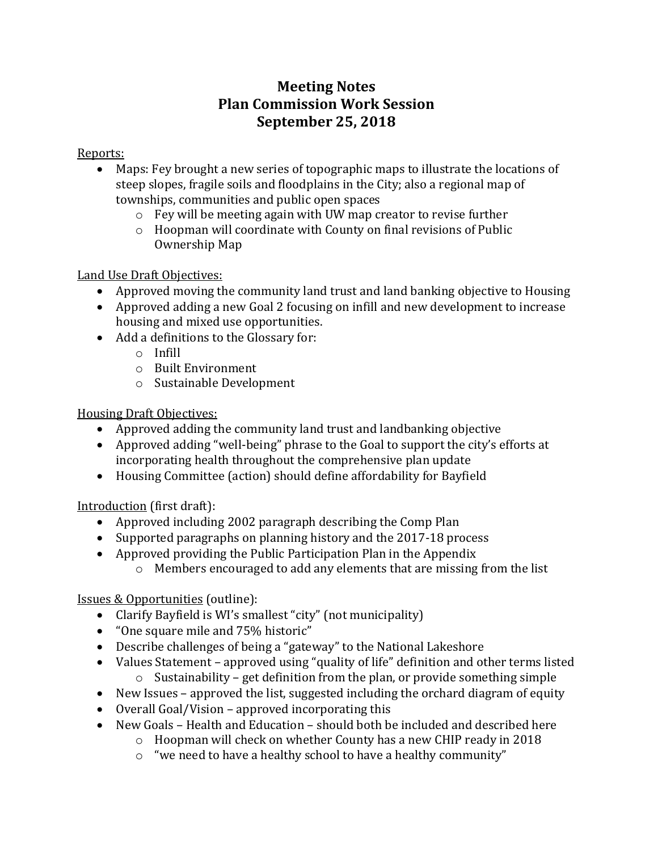# **Meeting Notes Plan Commission Work Session September 25, 2018**

Reports:

- Maps: Fey brought a new series of topographic maps to illustrate the locations of steep slopes, fragile soils and floodplains in the City; also a regional map of townships, communities and public open spaces
	- o Fey will be meeting again with UW map creator to revise further
	- o Hoopman will coordinate with County on final revisions of Public Ownership Map

## Land Use Draft Objectives:

- Approved moving the community land trust and land banking objective to Housing
- Approved adding a new Goal 2 focusing on infill and new development to increase housing and mixed use opportunities.
- Add a definitions to the Glossary for:
	- o Infill
	- o Built Environment
	- o Sustainable Development

## Housing Draft Objectives:

- Approved adding the community land trust and landbanking objective
- Approved adding "well-being" phrase to the Goal to support the city's efforts at incorporating health throughout the comprehensive plan update
- Housing Committee (action) should define affordability for Bayfield

Introduction (first draft):

- Approved including 2002 paragraph describing the Comp Plan
- Supported paragraphs on planning history and the 2017-18 process
- Approved providing the Public Participation Plan in the Appendix
	- o Members encouraged to add any elements that are missing from the list

Issues & Opportunities (outline):

- Clarify Bayfield is WI's smallest "city" (not municipality)
- "One square mile and 75% historic"
- Describe challenges of being a "gateway" to the National Lakeshore
- Values Statement approved using "quality of life" definition and other terms listed
	- o Sustainability get definition from the plan, or provide something simple
- New Issues approved the list, suggested including the orchard diagram of equity
- Overall Goal/Vision approved incorporating this
- New Goals Health and Education should both be included and described here
	- o Hoopman will check on whether County has a new CHIP ready in 2018
	- o "we need to have a healthy school to have a healthy community"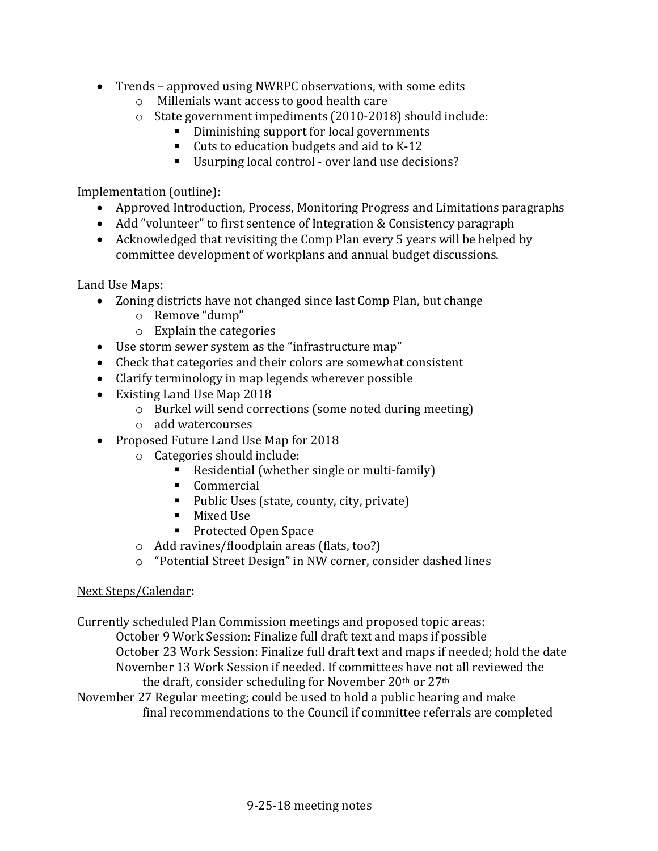- Trends approved using NWRPC observations, with some edits
	- o Millenials want access to good health care
	- o State government impediments (2010-2018) should include:
		- Diminishing support for local governments
		- Cuts to education budgets and aid to K-12
		- Usurping local control over land use decisions?

### Implementation (outline):

- Approved Introduction, Process, Monitoring Progress and Limitations paragraphs
- Add "volunteer" to first sentence of Integration & Consistency paragraph
- Acknowledged that revisiting the Comp Plan every 5 years will be helped by committee development of workplans and annual budget discussions.

#### Land Use Maps:

- Zoning districts have not changed since last Comp Plan, but change
	- o Remove "dump"
	- o Explain the categories
- Use storm sewer system as the "infrastructure map"
- Check that categories and their colors are somewhat consistent
- Clarify terminology in map legends wherever possible
- Existing Land Use Map 2018
	- o Burkel will send corrections (some noted during meeting)
	- o add watercourses
- Proposed Future Land Use Map for 2018
	- o Categories should include:
		- Residential (whether single or multi-family)
		- Commercial
		- Public Uses (state, county, city, private)
		- Mixed Use
		- Protected Open Space
	- o Add ravines/floodplain areas (flats, too?)
	- o "Potential Street Design" in NW corner, consider dashed lines

### Next Steps/Calendar:

Currently scheduled Plan Commission meetings and proposed topic areas: October 9 Work Session: Finalize full draft text and maps if possible October 23 Work Session: Finalize full draft text and maps if needed; hold the date November 13 Work Session if needed. If committees have not all reviewed the the draft, consider scheduling for November 20<sup>th</sup> or 27<sup>th</sup>

November 27 Regular meeting; could be used to hold a public hearing and make final recommendations to the Council if committee referrals are completed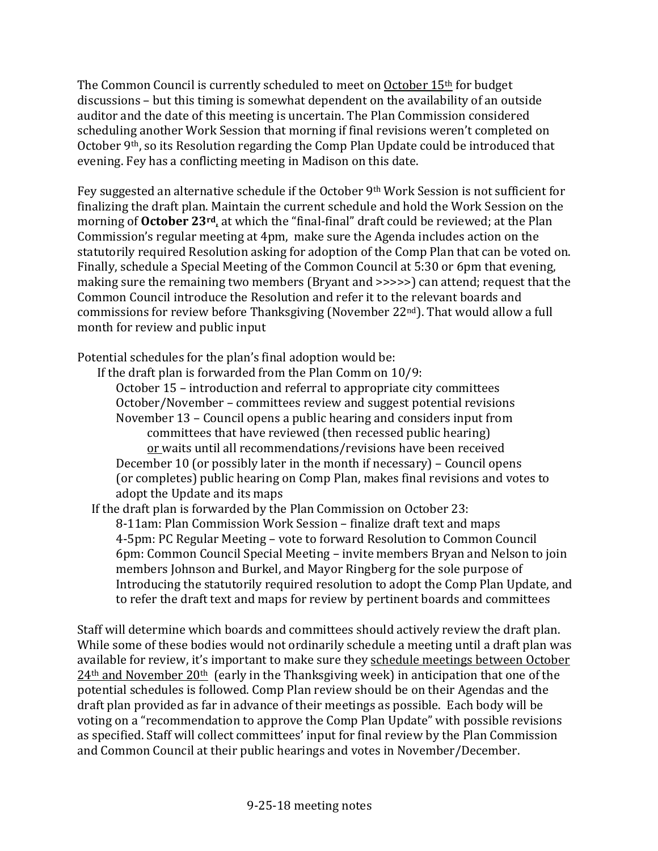The Common Council is currently scheduled to meet on October 15th for budget discussions – but this timing is somewhat dependent on the availability of an outside auditor and the date of this meeting is uncertain. The Plan Commission considered scheduling another Work Session that morning if final revisions weren't completed on October 9th, so its Resolution regarding the Comp Plan Update could be introduced that evening. Fey has a conflicting meeting in Madison on this date.

Fey suggested an alternative schedule if the October 9th Work Session is not sufficient for finalizing the draft plan. Maintain the current schedule and hold the Work Session on the morning of **October 23rd**, at which the "final-final" draft could be reviewed; at the Plan Commission's regular meeting at 4pm, make sure the Agenda includes action on the statutorily required Resolution asking for adoption of the Comp Plan that can be voted on. Finally, schedule a Special Meeting of the Common Council at 5:30 or 6pm that evening, making sure the remaining two members (Bryant and >>>>>) can attend; request that the Common Council introduce the Resolution and refer it to the relevant boards and commissions for review before Thanksgiving (November 22nd). That would allow a full month for review and public input

Potential schedules for the plan's final adoption would be:

If the draft plan is forwarded from the Plan Comm on 10/9:

October 15 – introduction and referral to appropriate city committees October/November – committees review and suggest potential revisions November 13 – Council opens a public hearing and considers input from committees that have reviewed (then recessed public hearing) or waits until all recommendations/revisions have been received December 10 (or possibly later in the month if necessary) – Council opens (or completes) public hearing on Comp Plan, makes final revisions and votes to adopt the Update and its maps

 If the draft plan is forwarded by the Plan Commission on October 23: 8-11am: Plan Commission Work Session – finalize draft text and maps 4-5pm: PC Regular Meeting – vote to forward Resolution to Common Council 6pm: Common Council Special Meeting – invite members Bryan and Nelson to join members Johnson and Burkel, and Mayor Ringberg for the sole purpose of Introducing the statutorily required resolution to adopt the Comp Plan Update, and to refer the draft text and maps for review by pertinent boards and committees

Staff will determine which boards and committees should actively review the draft plan. While some of these bodies would not ordinarily schedule a meeting until a draft plan was available for review, it's important to make sure they schedule meetings between October  $24<sup>th</sup>$  and November  $20<sup>th</sup>$  (early in the Thanksgiving week) in anticipation that one of the potential schedules is followed. Comp Plan review should be on their Agendas and the draft plan provided as far in advance of their meetings as possible. Each body will be voting on a "recommendation to approve the Comp Plan Update" with possible revisions as specified. Staff will collect committees' input for final review by the Plan Commission and Common Council at their public hearings and votes in November/December.